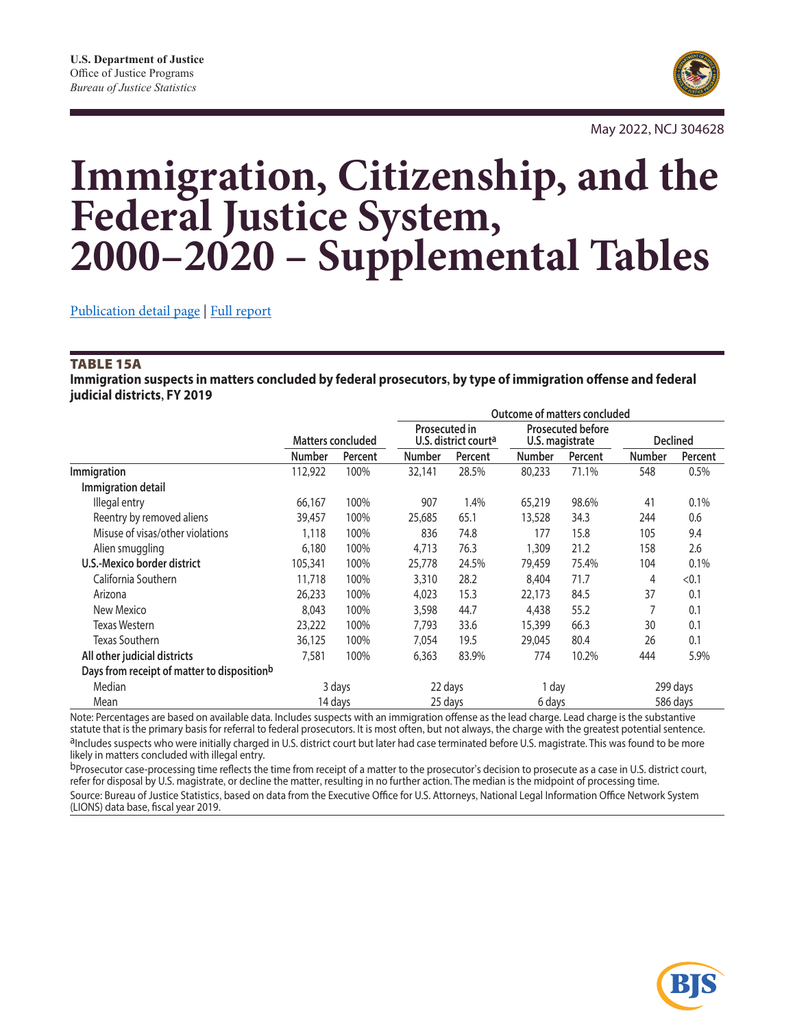

May 2022, NCJ 304628

# **Immigration, Citizenship, and the Federal Justice System, 2000–2020 – Supplemental Tables**

[Publication detail page](https://bjs.ojp.gov/library/publications/immigration-citizenship-and-federal-justice-system-1998-2018) | [Full report](https://bjs.ojp.gov/content/pub/pdf/icfjs9818.pdf)

#### TABLE 15A

**Immigration suspects in matters concluded by federal prosecutors, by type of immigration offense and federal judicial districts, FY 2019**

|                                             |                          |         | Outcome of matters concluded                             |         |                                             |         |                 |          |
|---------------------------------------------|--------------------------|---------|----------------------------------------------------------|---------|---------------------------------------------|---------|-----------------|----------|
|                                             | <b>Matters concluded</b> |         | <b>Prosecuted in</b><br>U.S. district court <sup>a</sup> |         | <b>Prosecuted before</b><br>U.S. magistrate |         | <b>Declined</b> |          |
|                                             | <b>Number</b>            | Percent | <b>Number</b>                                            | Percent | <b>Number</b>                               | Percent | <b>Number</b>   | Percent  |
| Immigration                                 | 112,922                  | 100%    | 32,141                                                   | 28.5%   | 80,233                                      | 71.1%   | 548             | 0.5%     |
| Immigration detail                          |                          |         |                                                          |         |                                             |         |                 |          |
| Illegal entry                               | 66,167                   | 100%    | 907                                                      | 1.4%    | 65,219                                      | 98.6%   | 41              | 0.1%     |
| Reentry by removed aliens                   | 39,457                   | 100%    | 25,685                                                   | 65.1    | 13,528                                      | 34.3    | 244             | 0.6      |
| Misuse of visas/other violations            | 1,118                    | 100%    | 836                                                      | 74.8    | 177                                         | 15.8    | 105             | 9.4      |
| Alien smuggling                             | 6,180                    | 100%    | 4,713                                                    | 76.3    | 1,309                                       | 21.2    | 158             | 2.6      |
| U.S.-Mexico border district                 | 105,341                  | 100%    | 25,778                                                   | 24.5%   | 79,459                                      | 75.4%   | 104             | 0.1%     |
| California Southern                         | 11,718                   | 100%    | 3,310                                                    | 28.2    | 8,404                                       | 71.7    | 4               | < 0.1    |
| Arizona                                     | 26,233                   | 100%    | 4,023                                                    | 15.3    | 22,173                                      | 84.5    | 37              | 0.1      |
| New Mexico                                  | 8,043                    | 100%    | 3,598                                                    | 44.7    | 4,438                                       | 55.2    |                 | 0.1      |
| Texas Western                               | 23,222                   | 100%    | 7,793                                                    | 33.6    | 15,399                                      | 66.3    | 30              | 0.1      |
| Texas Southern                              | 36,125                   | 100%    | 7,054                                                    | 19.5    | 29,045                                      | 80.4    | 26              | 0.1      |
| All other judicial districts                | 7,581                    | 100%    | 6,363                                                    | 83.9%   | 774                                         | 10.2%   | 444             | 5.9%     |
| Days from receipt of matter to dispositionb |                          |         |                                                          |         |                                             |         |                 |          |
| Median                                      |                          | 3 days  | 22 days                                                  |         | 1 day                                       |         |                 | 299 days |
| Mean                                        |                          | 14 days |                                                          | 25 days | 6 days                                      |         |                 | 586 days |

Note: Percentages are based on available data. Includes suspects with an immigration offense as the lead charge. Lead charge is the substantive<br>statute that is the primary basis for referral to federal prosecutors. It is m alncludes suspects who were initially charged in U.S. district court but later had case terminated before U.S. magistrate. This was found to be more likely in matters concluded with illegal entry.

bProsecutor case-processing time reflects the time from receipt of a matter to the prosecutor's decision to prosecute as a case in U.S. district court, refer for disposal by U.S. magistrate, or decline the matter, resulting in no further action. The median is the midpoint of processing time. Source: Bureau of Justice Statistics, based on data from the Executive Office for U.S. Attorneys, National Legal Information Office Network System (LIONS) data base, fiscal year 2019.

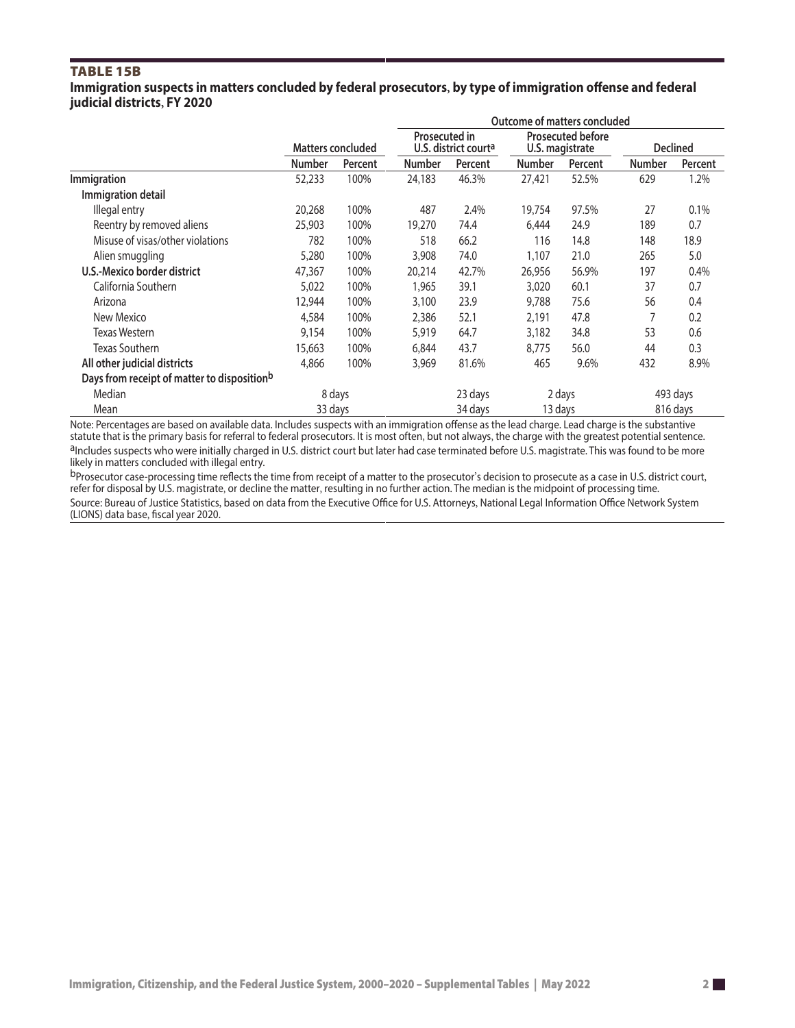## TABLE 15B

**Immigration suspects in matters concluded by federal prosecutors, by type of immigration offense and federal judicial districts, FY 2020**

|                                                         |                          |         | Outcome of matters concluded                      |         |                                             |         |                 |          |
|---------------------------------------------------------|--------------------------|---------|---------------------------------------------------|---------|---------------------------------------------|---------|-----------------|----------|
|                                                         | <b>Matters concluded</b> |         | Prosecuted in<br>U.S. district court <sup>a</sup> |         | <b>Prosecuted before</b><br>U.S. magistrate |         | <b>Declined</b> |          |
|                                                         | <b>Number</b>            | Percent | <b>Number</b>                                     | Percent | Number                                      | Percent | <b>Number</b>   | Percent  |
| Immigration                                             | 52,233                   | 100%    | 24,183                                            | 46.3%   | 27,421                                      | 52.5%   | 629             | 1.2%     |
| Immigration detail                                      |                          |         |                                                   |         |                                             |         |                 |          |
| Illegal entry                                           | 20,268                   | 100%    | 487                                               | 2.4%    | 19,754                                      | 97.5%   | 27              | 0.1%     |
| Reentry by removed aliens                               | 25,903                   | 100%    | 19,270                                            | 74.4    | 6,444                                       | 24.9    | 189             | 0.7      |
| Misuse of visas/other violations                        | 782                      | 100%    | 518                                               | 66.2    | 116                                         | 14.8    | 148             | 18.9     |
| Alien smuggling                                         | 5,280                    | 100%    | 3,908                                             | 74.0    | 1,107                                       | 21.0    | 265             | 5.0      |
| U.S.-Mexico border district                             | 47,367                   | 100%    | 20,214                                            | 42.7%   | 26,956                                      | 56.9%   | 197             | 0.4%     |
| California Southern                                     | 5,022                    | 100%    | 1,965                                             | 39.1    | 3,020                                       | 60.1    | 37              | 0.7      |
| Arizona                                                 | 12,944                   | 100%    | 3,100                                             | 23.9    | 9,788                                       | 75.6    | 56              | 0.4      |
| New Mexico                                              | 4,584                    | 100%    | 2,386                                             | 52.1    | 2,191                                       | 47.8    | 7               | 0.2      |
| <b>Texas Western</b>                                    | 9,154                    | 100%    | 5,919                                             | 64.7    | 3,182                                       | 34.8    | 53              | 0.6      |
| Texas Southern                                          | 15,663                   | 100%    | 6,844                                             | 43.7    | 8,775                                       | 56.0    | 44              | 0.3      |
| All other judicial districts                            | 4,866                    | 100%    | 3,969                                             | 81.6%   | 465                                         | 9.6%    | 432             | 8.9%     |
| Days from receipt of matter to disposition <sup>b</sup> |                          |         |                                                   |         |                                             |         |                 |          |
| Median                                                  | 8 days                   |         |                                                   | 23 days | 2 days                                      |         | 493 days        |          |
| Mean                                                    | 33 days                  |         |                                                   | 34 days | 13 days                                     |         |                 | 816 days |

Note: Percentages are based on available data. Includes suspects with an immigration offense as the lead charge. Lead charge is the substantive statute that is the primary basis for referral to federal prosecutors. It is m alncludes suspects who were initially charged in U.S. district court but later had case terminated before U.S. magistrate. This was found to be more likely in matters concluded with illegal entry.

<sup>b</sup>Prosecutor case-processing time reflects the time from receipt of a matter to the prosecutor's decision to prosecute as a case in U.S. district court, refer for disposal by U.S. magistrate, or decline the matter, resulting in no further action. The median is the midpoint of processing time. Source: Bureau of Justice Statistics, based on data from the Executive Office for U.S. Attorneys, National Legal Information Office Network System

(LIONS) data base, fiscal year 2020.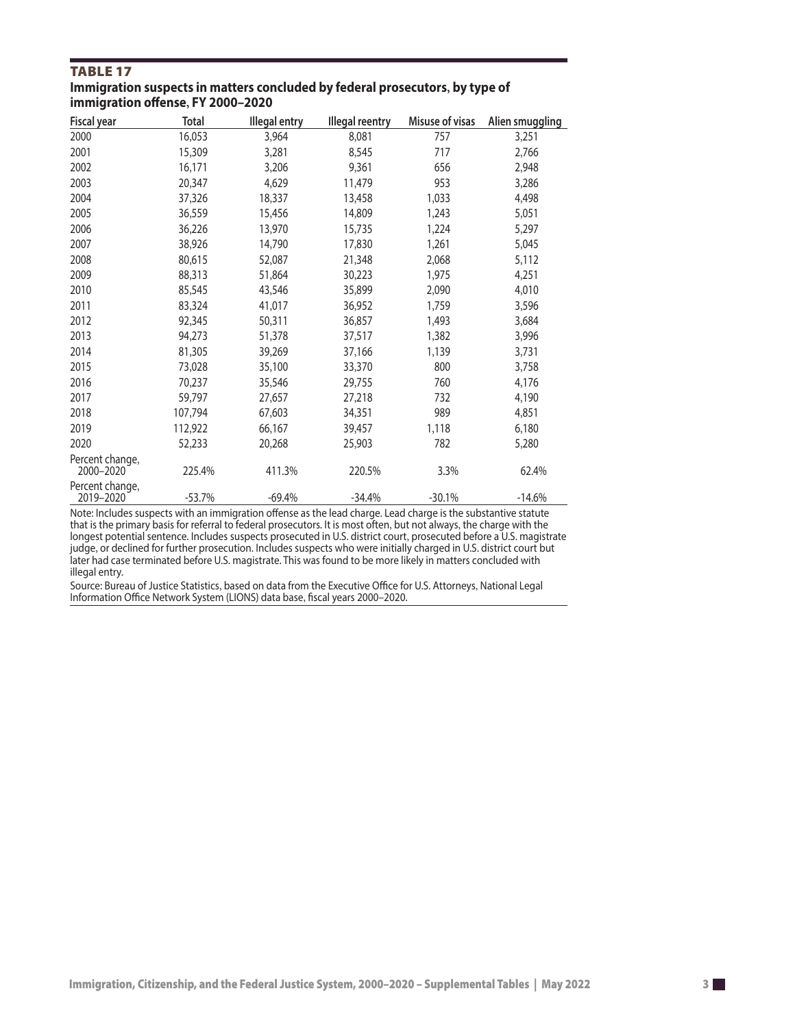## TABLE 17

#### **Immigration suspects in matters concluded by federal prosecutors, by type of immigration offense, FY 2000–2020**

| <b>Fiscal year</b>           | Total    | <b>Illegal entry</b> | <b>Illegal reentry</b> | Misuse of visas | Alien smuggling |
|------------------------------|----------|----------------------|------------------------|-----------------|-----------------|
| 2000                         | 16,053   | 3,964                | 8,081                  | 757             | 3,251           |
| 2001                         | 15,309   | 3,281                | 8,545                  | 717             | 2,766           |
| 2002                         | 16,171   | 3,206                | 9,361                  | 656             | 2,948           |
| 2003                         | 20,347   | 4,629                | 11,479                 | 953             | 3,286           |
| 2004                         | 37,326   | 18,337               | 13,458                 | 1,033           | 4,498           |
| 2005                         | 36,559   | 15,456               | 14,809                 | 1,243           | 5,051           |
| 2006                         | 36,226   | 13,970               | 15,735                 | 1,224           | 5,297           |
| 2007                         | 38,926   | 14,790               | 17,830                 | 1,261           | 5,045           |
| 2008                         | 80,615   | 52,087               | 21,348                 | 2,068           | 5,112           |
| 2009                         | 88,313   | 51,864               | 30,223                 | 1,975           | 4,251           |
| 2010                         | 85,545   | 43,546               | 35,899                 | 2,090           | 4,010           |
| 2011                         | 83,324   | 41,017               | 36,952                 | 1,759           | 3,596           |
| 2012                         | 92,345   | 50,311               | 36,857                 | 1,493           | 3,684           |
| 2013                         | 94,273   | 51,378               | 37,517                 | 1,382           | 3,996           |
| 2014                         | 81,305   | 39,269               | 37,166                 | 1,139           | 3,731           |
| 2015                         | 73,028   | 35,100               | 33,370                 | 800             | 3,758           |
| 2016                         | 70,237   | 35,546               | 29,755                 | 760             | 4,176           |
| 2017                         | 59,797   | 27,657               | 27,218                 | 732             | 4,190           |
| 2018                         | 107,794  | 67,603               | 34,351                 | 989             | 4,851           |
| 2019                         | 112,922  | 66,167               | 39,457                 | 1,118           | 6,180           |
| 2020                         | 52,233   | 20,268               | 25,903                 | 782             | 5,280           |
| Percent change,<br>2000-2020 | 225.4%   | 411.3%               | 220.5%                 | 3.3%            | 62.4%           |
| Percent change,<br>2019-2020 | $-53.7%$ | $-69.4%$             | $-34.4%$               | $-30.1%$        | $-14.6%$        |

Note: Includes suspects with an immigration offense as the lead charge. Lead charge is the substantive statute that is the primary basis for referral to federal prosecutors. It is most often, but not always, the charge with the longest potential sentence. Includes suspects prosecuted in U.S. district court, prosecuted before a U.S. magistrate judge, or declined for further prosecution. Includes suspects who were initially charged in U.S. district court but later had case terminated before U.S. magistrate. This was found to be more likely in matters concluded with illegal entry.

Source: Bureau of Justice Statistics, based on data from the Executive Office for U.S. Attorneys, National Legal Information Office Network System (LIONS) data base, fiscal years 2000–2020.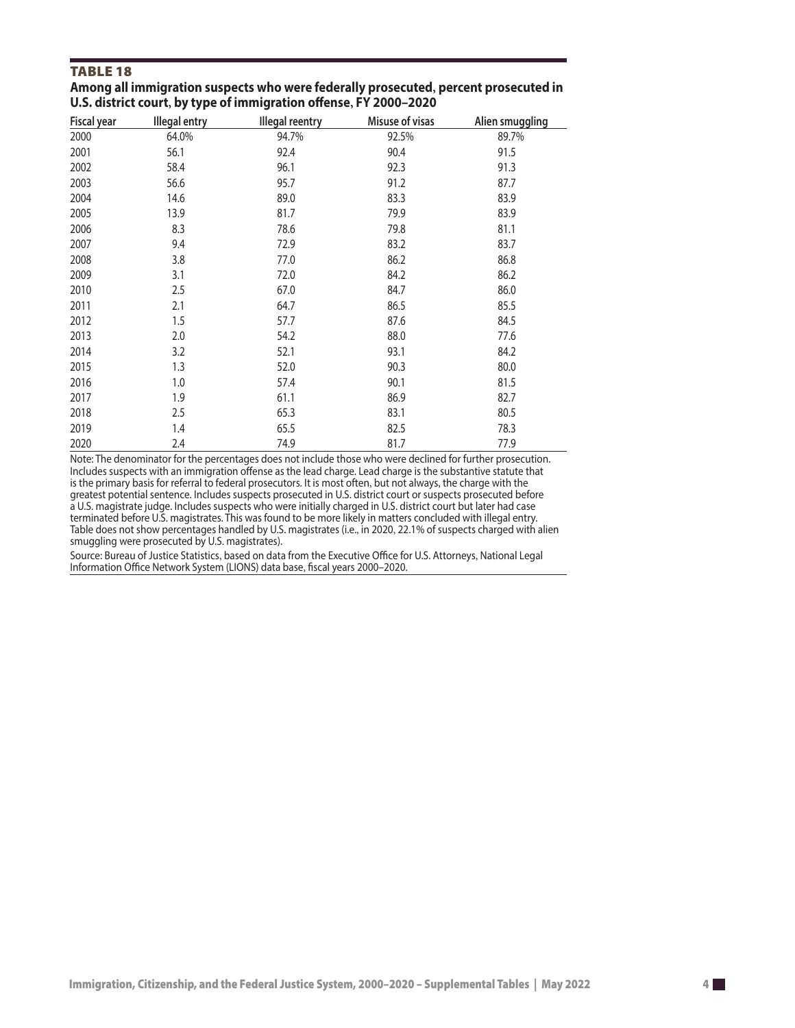### TABLE 18

| Among all immigration suspects who were federally prosecuted, percent prosecuted in |
|-------------------------------------------------------------------------------------|
| U.S. district court, by type of immigration offense, FY 2000-2020                   |

| <b>Fiscal year</b> | <b>Illegal entry</b> | <b>Illegal reentry</b> | Misuse of visas | Alien smuggling |
|--------------------|----------------------|------------------------|-----------------|-----------------|
| 2000               | 64.0%                | 94.7%                  | 92.5%           | 89.7%           |
| 2001               | 56.1                 | 92.4                   | 90.4            | 91.5            |
| 2002               | 58.4                 | 96.1                   | 92.3            | 91.3            |
| 2003               | 56.6                 | 95.7                   | 91.2            | 87.7            |
| 2004               | 14.6                 | 89.0                   | 83.3            | 83.9            |
| 2005               | 13.9                 | 81.7                   | 79.9            | 83.9            |
| 2006               | 8.3                  | 78.6                   | 79.8            | 81.1            |
| 2007               | 9.4                  | 72.9                   | 83.2            | 83.7            |
| 2008               | 3.8                  | 77.0                   | 86.2            | 86.8            |
| 2009               | 3.1                  | 72.0                   | 84.2            | 86.2            |
| 2010               | 2.5                  | 67.0                   | 84.7            | 86.0            |
| 2011               | 2.1                  | 64.7                   | 86.5            | 85.5            |
| 2012               | 1.5                  | 57.7                   | 87.6            | 84.5            |
| 2013               | 2.0                  | 54.2                   | 88.0            | 77.6            |
| 2014               | 3.2                  | 52.1                   | 93.1            | 84.2            |
| 2015               | 1.3                  | 52.0                   | 90.3            | 80.0            |
| 2016               | 1.0                  | 57.4                   | 90.1            | 81.5            |
| 2017               | 1.9                  | 61.1                   | 86.9            | 82.7            |
| 2018               | 2.5                  | 65.3                   | 83.1            | 80.5            |
| 2019               | 1.4                  | 65.5                   | 82.5            | 78.3            |
| 2020               | 2.4                  | 74.9                   | 81.7            | 77.9            |

Note: The denominator for the percentages does not include those who were declined for further prosecution. Includes suspects with an immigration offense as the lead charge. Lead charge is the substantive statute that is the primary basis for referral to federal prosecutors. It is most often, but not always, the charge with the greatest potential sentence. Includes suspects prosecuted in U.S. district court or suspects prosecuted before a U.S. magistrate judge. Includes suspects who were initially charged in U.S. district court but later had case terminated before U.S. magistrates. This was found to be more likely in matters concluded with illegal entry. Table does not show percentages handled by U.S. magistrates (i.e., in 2020, 22.1% of suspects charged with alien smuggling were prosecuted by U.S. magistrates).

Source: Bureau of Justice Statistics, based on data from the Executive Office for U.S. Attorneys, National Legal Information Office Network System (LIONS) data base, fiscal years 2000–2020.